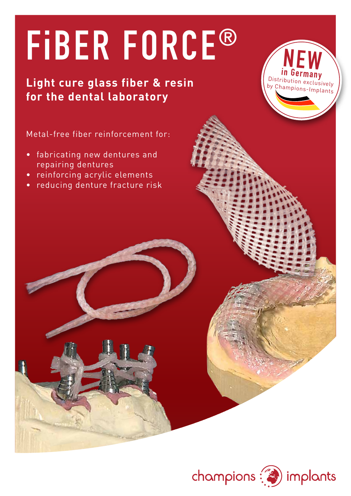# **FiBER FORCE®**

### **Light cure glass fiber & resin for the dental laboratory**

**in Germany NEW** Distribution exclusively by Champions-Implants

*seit 2006*

Metal-free fiber reinforcement for:

- • fabricating new dentures and repairing dentures
- • reinforcing acrylic elements
- reducing denture fracture risk

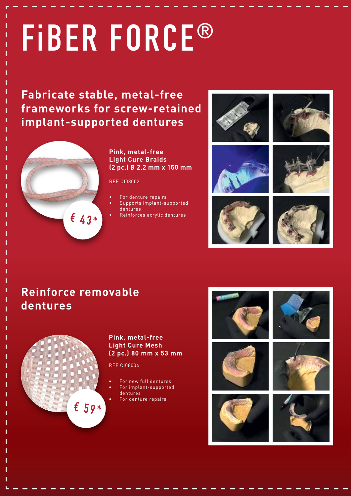# **FiBER FORCE®**

**Fabricate stable, metal-free frameworks for screw-retained implant-supported dentures**



#### **Pink, metal-free Light Cure Braids (2 pc.) Ø 2.2 mm x 150 mm**

REF CI08002

- For denture repairs
- Supports implant-supported
- dentures
- Reinforces acrylic dentures



### **Reinforce removable dentures**



#### **Pink, metal-free Light Cure Mesh (2 pc.) 80 mm x 53 mm**

REF CI08004

- For new full dentures
- For implant-supported
- dentures For denture repairs

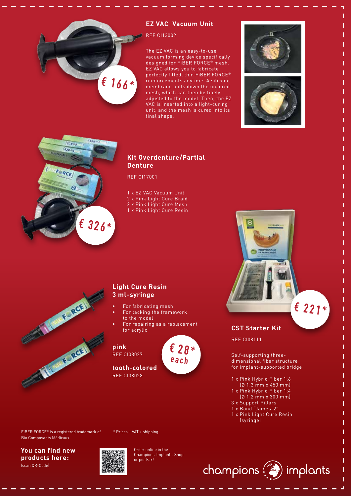

#### **EZ VAC Vacuum Unit**

REF CI13002

The EZ VAC is an easy-to-use vacuum forming device specifically designed for FiBER FORCE® mesh. EZ VAC allows you to fabricate perfectly fitted, thin FiBER FORCE® reinforcements anytime. A silicone membrane pulls down the uncured mesh, which can then be finely adjusted to the model. Then, the EZ VAC is inserted into a light-curing unit, and the mesh is cured into its final shape.







#### **Kit Overdenture/Partial Denture**

REF CI17001

1 x EZ VAC Vacuum Unit

2 x Pink Light Cure Braid

2 x Pink Light Cure Mesh

1 x Pink Light Cure Resin

# The Change of Street or The Monte Resident

#### **Light Cure Resin 3 ml-syringe**

- For fabricating mesh
- For tacking the framework to the model
- For repairing as a replacement for acrylic

**pink**

REF CI08027

**€ 28\* each**



REF CI08028 **tooth-colored**

\* Prices + VAT + shipping

**CST Starter Kit**

**PROTOCOLE** 

REF CI08111

Self-supporting threedimensional fiber structure for implant-supported bridge

**€ 221\***

ī

- 1 x Pink Hybrid Fiber 1:6
- (Ø 1.3 mm x 450 mm)
- 1 x Pink Hybrid Fiber 1:4 (Ø 1.2 mm x 300 mm)
- 3 x Support Pillars
- 1 x Bond "James-2"
- 1 x Pink Light Cure Resin (syringe)



**You can find new products here:**  (scan QR-Code)



Order online in the Champions-Implants-Shop or per Fax!

 $champions \n\mathbb{C}$  implants